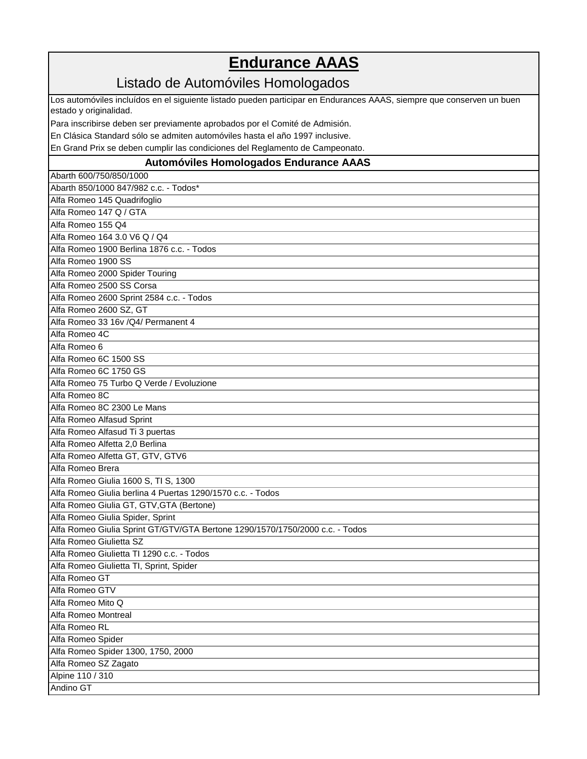## **Endurance AAAS**

## Listado de Automóviles Homologados

Los automóviles incluídos en el siguiente listado pueden participar en Endurances AAAS, siempre que conserven un buen estado y originalidad.

Para inscribirse deben ser previamente aprobados por el Comité de Admisión.

En Clásica Standard sólo se admiten automóviles hasta el año 1997 inclusive.

En Grand Prix se deben cumplir las condiciones del Reglamento de Campeonato.

## **Automóviles Homologados Endurance AAAS**

Abarth 600/750/850/1000 Abarth 850/1000 847/982 c.c. - Todos\* Alfa Romeo 145 Quadrifoglio Alfa Romeo 147 Q / GTA Alfa Romeo 155 Q4 Alfa Romeo 164 3.0 V6 Q / Q4 Alfa Romeo 1900 Berlina 1876 c.c. - Todos Alfa Romeo 1900 SS Alfa Romeo 2000 Spider Touring Alfa Romeo 2500 SS Corsa Alfa Romeo 2600 Sprint 2584 c.c. - Todos Alfa Romeo 2600 SZ, GT Alfa Romeo 33 16v /Q4/ Permanent 4 Alfa Romeo 4C Alfa Romeo 6 Alfa Romeo 6C 1500 SS Alfa Romeo 6C 1750 GS Alfa Romeo 75 Turbo Q Verde / Evoluzione Alfa Romeo 8C Alfa Romeo 8C 2300 Le Mans Alfa Romeo Alfasud Sprint Alfa Romeo Alfasud Ti 3 puertas Alfa Romeo Alfetta 2,0 Berlina Alfa Romeo Alfetta GT, GTV, GTV6 Alfa Romeo Brera Alfa Romeo Giulia 1600 S, TI S, 1300 Alfa Romeo Giulia berlina 4 Puertas 1290/1570 c.c. - Todos Alfa Romeo Giulia GT, GTV,GTA (Bertone) Alfa Romeo Giulia Spider, Sprint Alfa Romeo Giulia Sprint GT/GTV/GTA Bertone 1290/1570/1750/2000 c.c. - Todos Alfa Romeo Giulietta SZ Alfa Romeo Giulietta TI 1290 c.c. - Todos Alfa Romeo Giulietta TI, Sprint, Spider Alfa Romeo GT Alfa Romeo GTV Alfa Romeo Mito Q Alfa Romeo Montreal Alfa Romeo RL Alfa Romeo Spider Alfa Romeo Spider 1300, 1750, 2000 Alfa Romeo SZ Zagato Alpine 110 / 310 Andino GT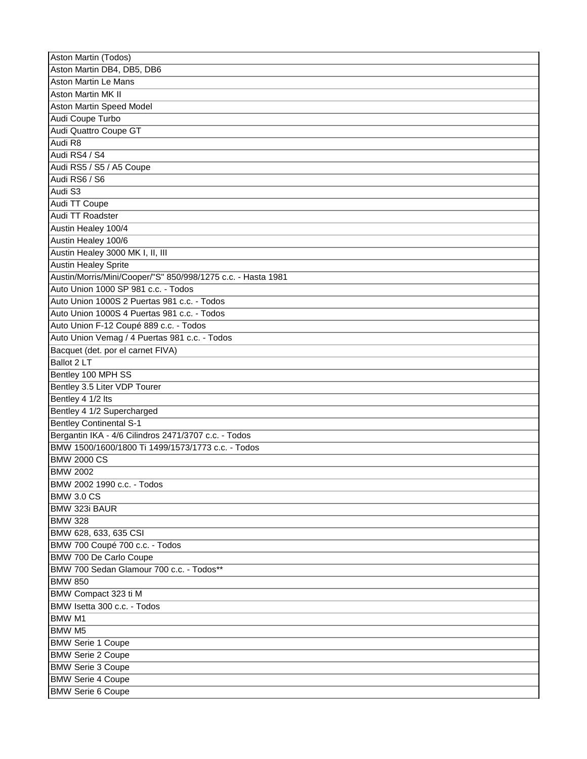| Aston Martin (Todos)                                         |
|--------------------------------------------------------------|
| Aston Martin DB4, DB5, DB6                                   |
| <b>Aston Martin Le Mans</b>                                  |
| <b>Aston Martin MK II</b>                                    |
| <b>Aston Martin Speed Model</b>                              |
| Audi Coupe Turbo                                             |
| <b>Audi Quattro Coupe GT</b>                                 |
| Audi R8                                                      |
| Audi RS4 / S4                                                |
| Audi RS5 / S5 / A5 Coupe                                     |
| Audi RS6 / S6                                                |
| Audi S3                                                      |
| Audi TT Coupe                                                |
| Audi TT Roadster                                             |
| Austin Healey 100/4                                          |
| Austin Healey 100/6                                          |
|                                                              |
| Austin Healey 3000 MK I, II, III                             |
| <b>Austin Healey Sprite</b>                                  |
| Austin/Morris/Mini/Cooper/"S" 850/998/1275 c.c. - Hasta 1981 |
| Auto Union 1000 SP 981 c.c. - Todos                          |
| Auto Union 1000S 2 Puertas 981 c.c. - Todos                  |
| Auto Union 1000S 4 Puertas 981 c.c. - Todos                  |
| Auto Union F-12 Coupé 889 c.c. - Todos                       |
| Auto Union Vemag / 4 Puertas 981 c.c. - Todos                |
| Bacquet (det. por el carnet FIVA)                            |
| Ballot 2 LT                                                  |
| Bentley 100 MPH SS                                           |
| Bentley 3.5 Liter VDP Tourer                                 |
| Bentley 4 1/2 lts                                            |
| Bentley 4 1/2 Supercharged                                   |
| <b>Bentley Continental S-1</b>                               |
| Bergantin IKA - 4/6 Cilindros 2471/3707 c.c. - Todos         |
| BMW 1500/1600/1800 Ti 1499/1573/1773 c.c. - Todos            |
| <b>BMW 2000 CS</b>                                           |
| <b>BMW 2002</b>                                              |
| BMW 2002 1990 c.c. - Todos                                   |
| <b>BMW 3.0 CS</b>                                            |
| <b>BMW 323i BAUR</b>                                         |
| <b>BMW 328</b>                                               |
| BMW 628, 633, 635 CSI                                        |
| BMW 700 Coupé 700 c.c. - Todos                               |
| BMW 700 De Carlo Coupe                                       |
| BMW 700 Sedan Glamour 700 c.c. - Todos**                     |
| <b>BMW 850</b>                                               |
| BMW Compact 323 ti M                                         |
| BMW Isetta 300 c.c. - Todos                                  |
|                                                              |
| <b>BMW M1</b>                                                |
| <b>BMW M5</b>                                                |
| <b>BMW Serie 1 Coupe</b>                                     |
| <b>BMW Serie 2 Coupe</b>                                     |
| <b>BMW Serie 3 Coupe</b>                                     |
| <b>BMW Serie 4 Coupe</b>                                     |
| <b>BMW Serie 6 Coupe</b>                                     |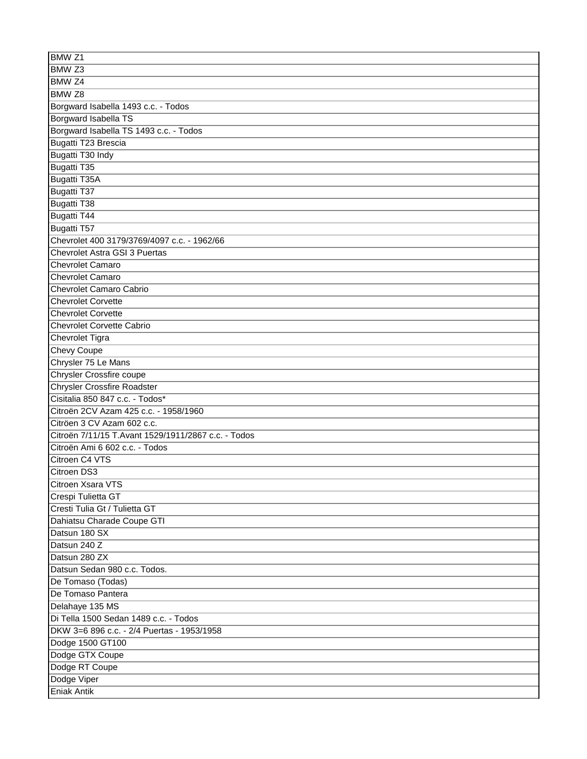| BMW <sub>Z1</sub>                                   |
|-----------------------------------------------------|
| BMW <sub>Z3</sub>                                   |
| BMW <sub>Z4</sub>                                   |
| BMW <sub>Z8</sub>                                   |
| Borgward Isabella 1493 c.c. - Todos                 |
| Borgward Isabella TS                                |
| Borgward Isabella TS 1493 c.c. - Todos              |
| Bugatti T23 Brescia                                 |
| Bugatti T30 Indy                                    |
| Bugatti T35                                         |
| Bugatti T35A                                        |
| <b>Bugatti T37</b>                                  |
| <b>Bugatti T38</b>                                  |
| <b>Bugatti T44</b>                                  |
| Bugatti T57                                         |
| Chevrolet 400 3179/3769/4097 c.c. - 1962/66         |
| <b>Chevrolet Astra GSI 3 Puertas</b>                |
| <b>Chevrolet Camaro</b>                             |
| <b>Chevrolet Camaro</b>                             |
| <b>Chevrolet Camaro Cabrio</b>                      |
| <b>Chevrolet Corvette</b>                           |
| <b>Chevrolet Corvette</b>                           |
| <b>Chevrolet Corvette Cabrio</b>                    |
| <b>Chevrolet Tigra</b>                              |
| <b>Chevy Coupe</b>                                  |
| Chrysler 75 Le Mans                                 |
| <b>Chrysler Crossfire coupe</b>                     |
| <b>Chrysler Crossfire Roadster</b>                  |
| Cisitalia 850 847 c.c. - Todos*                     |
| Citroën 2CV Azam 425 c.c. - 1958/1960               |
| Citröen 3 CV Azam 602 c.c.                          |
| Citroën 7/11/15 T.Avant 1529/1911/2867 c.c. - Todos |
| Citroën Ami 6 602 c.c. - Todos                      |
| Citroen C4 VTS                                      |
| Citroen DS3                                         |
| Citroen Xsara VTS                                   |
| Crespi Tulietta GT                                  |
| Cresti Tulia Gt / Tulietta GT                       |
| Dahiatsu Charade Coupe GTI                          |
| Datsun 180 SX                                       |
| Datsun 240 Z                                        |
| Datsun 280 ZX                                       |
| Datsun Sedan 980 c.c. Todos.                        |
| De Tomaso (Todas)                                   |
| De Tomaso Pantera                                   |
| Delahaye 135 MS                                     |
| Di Tella 1500 Sedan 1489 c.c. - Todos               |
| DKW 3=6 896 c.c. - 2/4 Puertas - 1953/1958          |
| Dodge 1500 GT100                                    |
| Dodge GTX Coupe                                     |
| Dodge RT Coupe                                      |
|                                                     |
| Dodge Viper                                         |
| <b>Eniak Antik</b>                                  |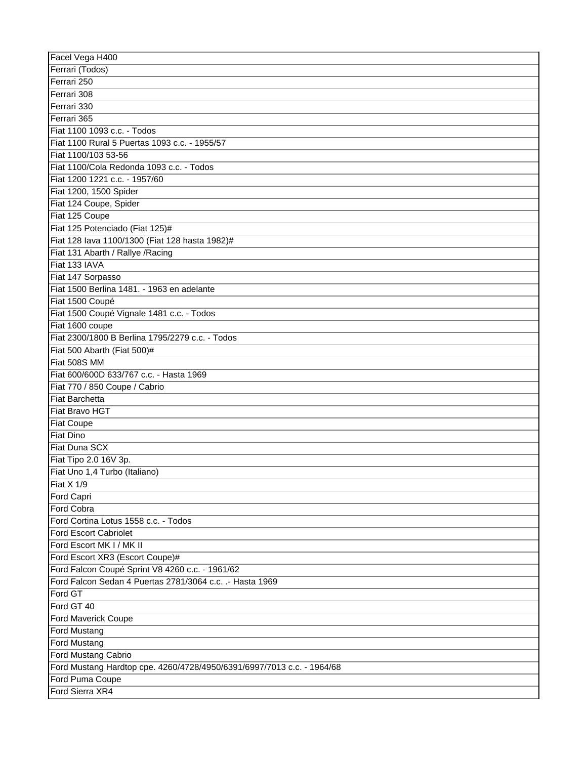| Facel Vega H400                                                        |
|------------------------------------------------------------------------|
| Ferrari (Todos)                                                        |
| Ferrari 250                                                            |
| Ferrari 308                                                            |
| Ferrari 330                                                            |
| Ferrari 365                                                            |
| Fiat 1100 1093 c.c. - Todos                                            |
| Fiat 1100 Rural 5 Puertas 1093 c.c. - 1955/57                          |
| Fiat 1100/103 53-56                                                    |
| Fiat 1100/Cola Redonda 1093 c.c. - Todos                               |
| Fiat 1200 1221 c.c. - 1957/60                                          |
| Fiat 1200, 1500 Spider                                                 |
| Fiat 124 Coupe, Spider                                                 |
| Fiat 125 Coupe                                                         |
| Fiat 125 Potenciado (Fiat 125)#                                        |
| Fiat 128 lava 1100/1300 (Fiat 128 hasta 1982)#                         |
| Fiat 131 Abarth / Rallye / Racing                                      |
| Fiat 133 IAVA                                                          |
| Fiat 147 Sorpasso                                                      |
| Fiat 1500 Berlina 1481. - 1963 en adelante                             |
| Fiat 1500 Coupé                                                        |
| Fiat 1500 Coupé Vignale 1481 c.c. - Todos                              |
| Fiat 1600 coupe                                                        |
| Fiat 2300/1800 B Berlina 1795/2279 c.c. - Todos                        |
|                                                                        |
| Fiat 500 Abarth (Fiat 500)#<br>Fiat 508S MM                            |
| Fiat 600/600D 633/767 c.c. - Hasta 1969                                |
| Fiat 770 / 850 Coupe / Cabrio                                          |
| <b>Fiat Barchetta</b>                                                  |
| Fiat Bravo HGT                                                         |
| <b>Fiat Coupe</b>                                                      |
| <b>Fiat Dino</b>                                                       |
| Fiat Duna SCX                                                          |
| Fiat Tipo 2.0 16V 3p.                                                  |
| Fiat Uno 1,4 Turbo (Italiano)                                          |
|                                                                        |
| Fiat X 1/9<br>Ford Capri                                               |
| Ford Cobra                                                             |
| Ford Cortina Lotus 1558 c.c. - Todos                                   |
|                                                                        |
| <b>Ford Escort Cabriolet</b><br>Ford Escort MK I / MK II               |
|                                                                        |
| Ford Escort XR3 (Escort Coupe)#                                        |
| Ford Falcon Coupé Sprint V8 4260 c.c. - 1961/62                        |
| Ford Falcon Sedan 4 Puertas 2781/3064 c.c. .- Hasta 1969               |
| Ford GT                                                                |
| Ford GT 40                                                             |
| Ford Maverick Coupe                                                    |
| <b>Ford Mustang</b>                                                    |
| <b>Ford Mustang</b>                                                    |
| Ford Mustang Cabrio                                                    |
| Ford Mustang Hardtop cpe. 4260/4728/4950/6391/6997/7013 c.c. - 1964/68 |
| Ford Puma Coupe                                                        |
| Ford Sierra XR4                                                        |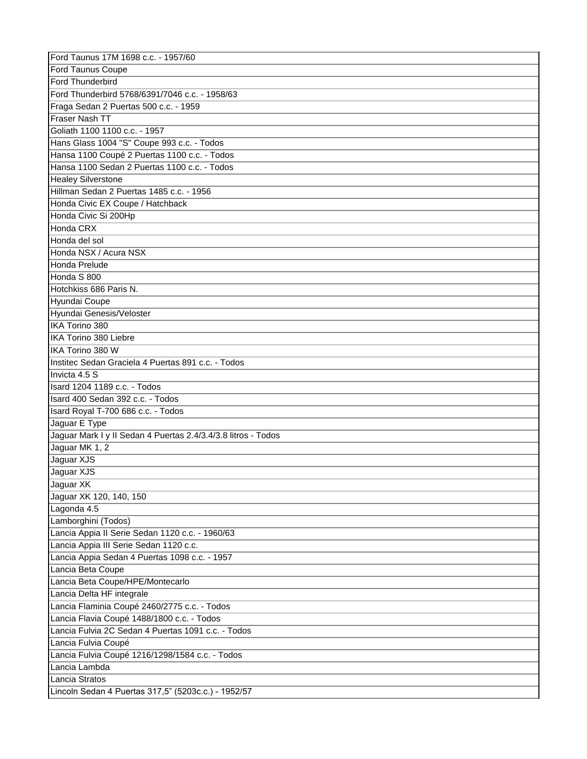| Ford Taunus 17M 1698 c.c. - 1957/60                           |
|---------------------------------------------------------------|
| <b>Ford Taunus Coupe</b>                                      |
| Ford Thunderbird                                              |
| Ford Thunderbird 5768/6391/7046 c.c. - 1958/63                |
| Fraga Sedan 2 Puertas 500 c.c. - 1959                         |
| Fraser Nash TT                                                |
| Goliath 1100 1100 c.c. - 1957                                 |
| Hans Glass 1004 "S" Coupe 993 c.c. - Todos                    |
| Hansa 1100 Coupé 2 Puertas 1100 c.c. - Todos                  |
| Hansa 1100 Sedan 2 Puertas 1100 c.c. - Todos                  |
| <b>Healey Silverstone</b>                                     |
| Hillman Sedan 2 Puertas 1485 c.c. - 1956                      |
| Honda Civic EX Coupe / Hatchback                              |
| Honda Civic Si 200Hp                                          |
| Honda CRX                                                     |
| Honda del sol                                                 |
| Honda NSX / Acura NSX                                         |
| Honda Prelude                                                 |
| Honda S 800                                                   |
|                                                               |
| Hotchkiss 686 Paris N.                                        |
| Hyundai Coupe                                                 |
| Hyundai Genesis/Veloster                                      |
| IKA Torino 380                                                |
| IKA Torino 380 Liebre                                         |
| IKA Torino 380 W                                              |
| Institec Sedan Graciela 4 Puertas 891 c.c. - Todos            |
| Invicta 4.5 S                                                 |
| Isard 1204 1189 c.c. - Todos                                  |
| Isard 400 Sedan 392 c.c. - Todos                              |
| Isard Royal T-700 686 c.c. - Todos                            |
| Jaguar E Type                                                 |
| Jaguar Mark I y II Sedan 4 Puertas 2.4/3.4/3.8 litros - Todos |
| Jaguar MK 1, 2                                                |
| Jaguar XJS                                                    |
| Jaguar XJS                                                    |
| Jaguar XK                                                     |
| Jaguar XK 120, 140, 150                                       |
| Lagonda 4.5                                                   |
| Lamborghini (Todos)                                           |
| Lancia Appia II Serie Sedan 1120 c.c. - 1960/63               |
| Lancia Appia III Serie Sedan 1120 c.c.                        |
| Lancia Appia Sedan 4 Puertas 1098 c.c. - 1957                 |
| Lancia Beta Coupe                                             |
| Lancia Beta Coupe/HPE/Montecarlo                              |
| Lancia Delta HF integrale                                     |
| Lancia Flaminia Coupé 2460/2775 c.c. - Todos                  |
| Lancia Flavia Coupé 1488/1800 c.c. - Todos                    |
| Lancia Fulvia 2C Sedan 4 Puertas 1091 c.c. - Todos            |
| Lancia Fulvia Coupé                                           |
| Lancia Fulvia Coupé 1216/1298/1584 c.c. - Todos               |
| Lancia Lambda                                                 |
| Lancia Stratos                                                |
| Lincoln Sedan 4 Puertas 317,5" (5203c.c.) - 1952/57           |
|                                                               |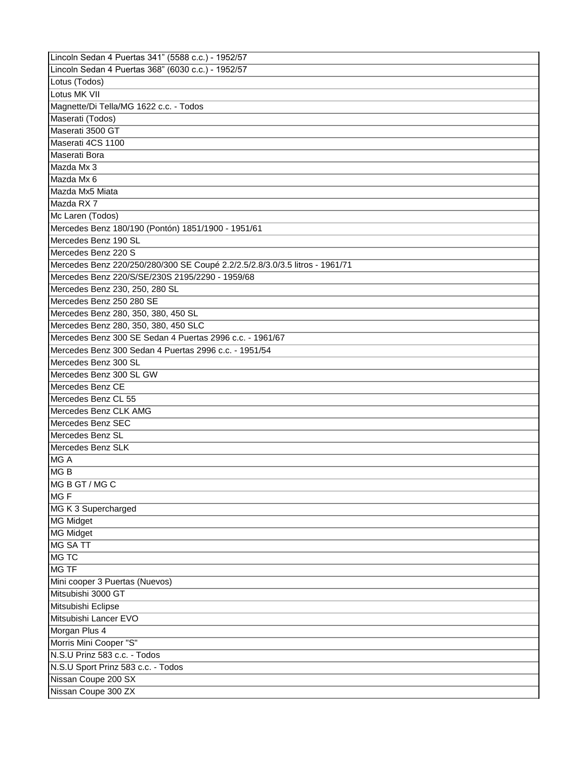| Lincoln Sedan 4 Puertas 341" (5588 c.c.) - 1952/57                          |
|-----------------------------------------------------------------------------|
| Lincoln Sedan 4 Puertas 368" (6030 c.c.) - 1952/57                          |
| Lotus (Todos)                                                               |
| Lotus MK VII                                                                |
| Magnette/Di Tella/MG 1622 c.c. - Todos                                      |
| Maserati (Todos)                                                            |
| Maserati 3500 GT                                                            |
| Maserati 4CS 1100                                                           |
| Maserati Bora                                                               |
| Mazda Mx 3                                                                  |
| Mazda Mx 6                                                                  |
| Mazda Mx5 Miata                                                             |
| Mazda RX7                                                                   |
| Mc Laren (Todos)                                                            |
| Mercedes Benz 180/190 (Pontón) 1851/1900 - 1951/61                          |
| Mercedes Benz 190 SL                                                        |
| Mercedes Benz 220 S                                                         |
| Mercedes Benz 220/250/280/300 SE Coupé 2.2/2.5/2.8/3.0/3.5 litros - 1961/71 |
| Mercedes Benz 220/S/SE/230S 2195/2290 - 1959/68                             |
| Mercedes Benz 230, 250, 280 SL                                              |
| Mercedes Benz 250 280 SE                                                    |
| Mercedes Benz 280, 350, 380, 450 SL                                         |
| Mercedes Benz 280, 350, 380, 450 SLC                                        |
| Mercedes Benz 300 SE Sedan 4 Puertas 2996 c.c. - 1961/67                    |
| Mercedes Benz 300 Sedan 4 Puertas 2996 c.c. - 1951/54                       |
| Mercedes Benz 300 SL                                                        |
| Mercedes Benz 300 SL GW                                                     |
| Mercedes Benz CE                                                            |
| Mercedes Benz CL 55                                                         |
| Mercedes Benz CLK AMG                                                       |
| Mercedes Benz SEC                                                           |
| Mercedes Benz SL                                                            |
| Mercedes Benz SLK                                                           |
| MG A                                                                        |
| MG <sub>B</sub>                                                             |
| MG B GT / MG C                                                              |
| MG <sub>F</sub>                                                             |
| MG K 3 Supercharged                                                         |
| <b>MG Midget</b>                                                            |
| <b>MG Midget</b>                                                            |
| <b>MG SATT</b>                                                              |
| MG TC                                                                       |
| <b>MG TF</b>                                                                |
| Mini cooper 3 Puertas (Nuevos)                                              |
| Mitsubishi 3000 GT                                                          |
| Mitsubishi Eclipse                                                          |
| Mitsubishi Lancer EVO                                                       |
|                                                                             |
| Morgan Plus 4                                                               |
| Morris Mini Cooper "S"                                                      |
| N.S.U Prinz 583 c.c. - Todos                                                |
| N.S.U Sport Prinz 583 c.c. - Todos                                          |
| Nissan Coupe 200 SX                                                         |
| Nissan Coupe 300 ZX                                                         |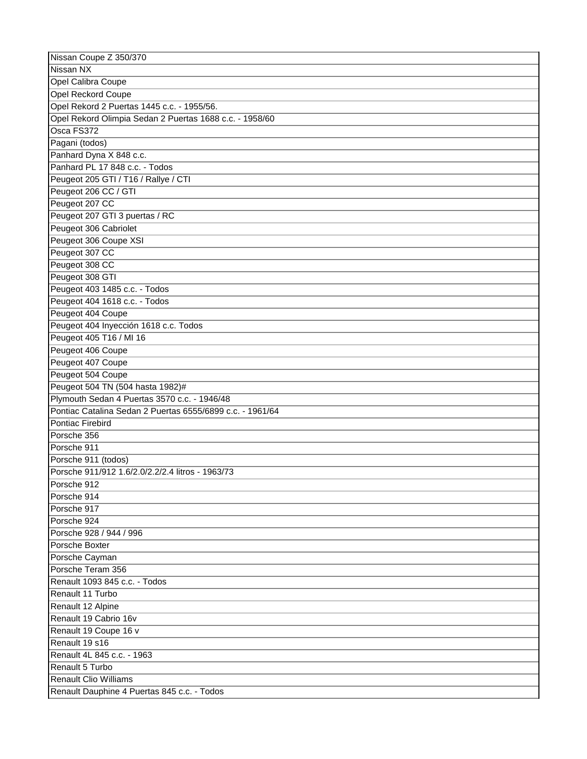| Nissan Coupe Z 350/370                                    |
|-----------------------------------------------------------|
| Nissan NX                                                 |
| <b>Opel Calibra Coupe</b>                                 |
| <b>Opel Reckord Coupe</b>                                 |
| Opel Rekord 2 Puertas 1445 c.c. - 1955/56.                |
| Opel Rekord Olimpia Sedan 2 Puertas 1688 c.c. - 1958/60   |
| Osca FS372                                                |
| Pagani (todos)                                            |
| Panhard Dyna X 848 c.c.                                   |
| Panhard PL 17 848 c.c. - Todos                            |
| Peugeot 205 GTI / T16 / Rallye / CTI                      |
| Peugeot 206 CC / GTI                                      |
| Peugeot 207 CC                                            |
| Peugeot 207 GTI 3 puertas / RC                            |
| Peugeot 306 Cabriolet                                     |
| Peugeot 306 Coupe XSI                                     |
| Peugeot 307 CC                                            |
|                                                           |
| Peugeot 308 CC                                            |
| Peugeot 308 GTI                                           |
| Peugeot 403 1485 c.c. - Todos                             |
| Peugeot 404 1618 c.c. - Todos                             |
| Peugeot 404 Coupe                                         |
| Peugeot 404 Inyección 1618 c.c. Todos                     |
| Peugeot 405 T16 / MI 16                                   |
| Peugeot 406 Coupe                                         |
| Peugeot 407 Coupe                                         |
| Peugeot 504 Coupe                                         |
| Peugeot 504 TN (504 hasta 1982)#                          |
| Plymouth Sedan 4 Puertas 3570 c.c. - 1946/48              |
| Pontiac Catalina Sedan 2 Puertas 6555/6899 c.c. - 1961/64 |
| Pontiac Firebird                                          |
| Porsche 356                                               |
| Porsche 911                                               |
| Porsche 911 (todos)                                       |
| Porsche 911/912 1.6/2.0/2.2/2.4 litros - 1963/73          |
| Porsche 912                                               |
| Porsche 914                                               |
| Porsche 917                                               |
| Porsche 924                                               |
| Porsche 928 / 944 / 996                                   |
| Porsche Boxter                                            |
| Porsche Cayman                                            |
| Porsche Teram 356                                         |
| Renault 1093 845 c.c. - Todos                             |
| Renault 11 Turbo                                          |
| Renault 12 Alpine                                         |
| Renault 19 Cabrio 16v                                     |
|                                                           |
| Renault 19 Coupe 16 v                                     |
| Renault 19 s16                                            |
| Renault 4L 845 c.c. - 1963                                |
| Renault 5 Turbo                                           |
| <b>Renault Clio Williams</b>                              |
| Renault Dauphine 4 Puertas 845 c.c. - Todos               |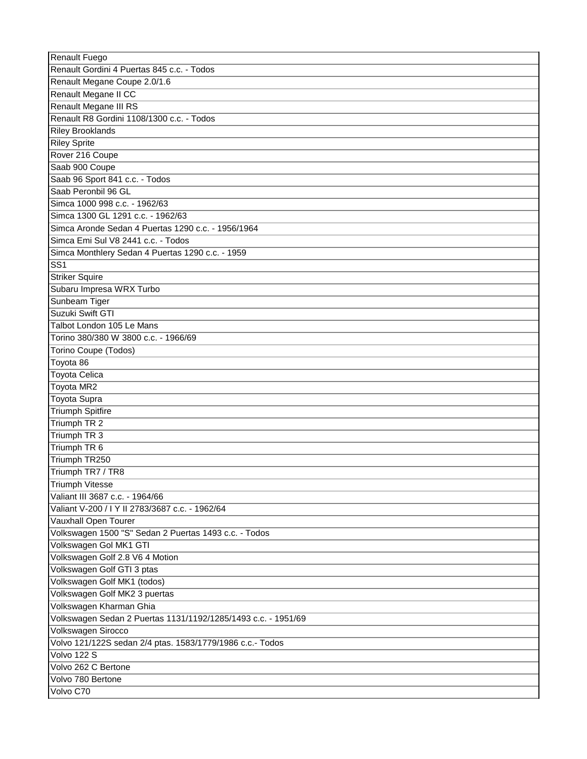| Renault Fuego                                                 |
|---------------------------------------------------------------|
| Renault Gordini 4 Puertas 845 c.c. - Todos                    |
| Renault Megane Coupe 2.0/1.6                                  |
| Renault Megane II CC                                          |
| Renault Megane III RS                                         |
| Renault R8 Gordini 1108/1300 c.c. - Todos                     |
| <b>Riley Brooklands</b>                                       |
| <b>Riley Sprite</b>                                           |
| Rover 216 Coupe                                               |
| Saab 900 Coupe                                                |
| Saab 96 Sport 841 c.c. - Todos                                |
| Saab Peronbil 96 GL                                           |
| Simca 1000 998 c.c. - 1962/63                                 |
| Simca 1300 GL 1291 c.c. - 1962/63                             |
| Simca Aronde Sedan 4 Puertas 1290 c.c. - 1956/1964            |
| Simca Emi Sul V8 2441 c.c. - Todos                            |
| Simca Monthlery Sedan 4 Puertas 1290 c.c. - 1959              |
| $\overline{\text{SS1}}$                                       |
| <b>Striker Squire</b>                                         |
| Subaru Impresa WRX Turbo                                      |
| Sunbeam Tiger                                                 |
| Suzuki Swift GTI                                              |
| Talbot London 105 Le Mans                                     |
| Torino 380/380 W 3800 c.c. - 1966/69                          |
| Torino Coupe (Todos)                                          |
| Toyota 86                                                     |
| Toyota Celica                                                 |
| Toyota MR2                                                    |
| Toyota Supra                                                  |
| Triumph Spitfire                                              |
| Triumph TR 2                                                  |
| Triumph TR 3                                                  |
| Triumph TR 6                                                  |
| Triumph TR250                                                 |
| Triumph TR7 / TR8                                             |
| <b>Triumph Vitesse</b>                                        |
| Valiant III 3687 c.c. - 1964/66                               |
| Valiant V-200 / I Y II 2783/3687 c.c. - 1962/64               |
| Vauxhall Open Tourer                                          |
| Volkswagen 1500 "S" Sedan 2 Puertas 1493 c.c. - Todos         |
| Volkswagen Gol MK1 GTI                                        |
| Volkswagen Golf 2.8 V6 4 Motion                               |
| Volkswagen Golf GTI 3 ptas                                    |
| Volkswagen Golf MK1 (todos)                                   |
| Volkswagen Golf MK2 3 puertas                                 |
| Volkswagen Kharman Ghia                                       |
| Volkswagen Sedan 2 Puertas 1131/1192/1285/1493 c.c. - 1951/69 |
| Volkswagen Sirocco                                            |
| Volvo 121/122S sedan 2/4 ptas. 1583/1779/1986 c.c.- Todos     |
| Volvo 122 S                                                   |
| Volvo 262 C Bertone                                           |
|                                                               |
| Volvo 780 Bertone                                             |
| Volvo C70                                                     |